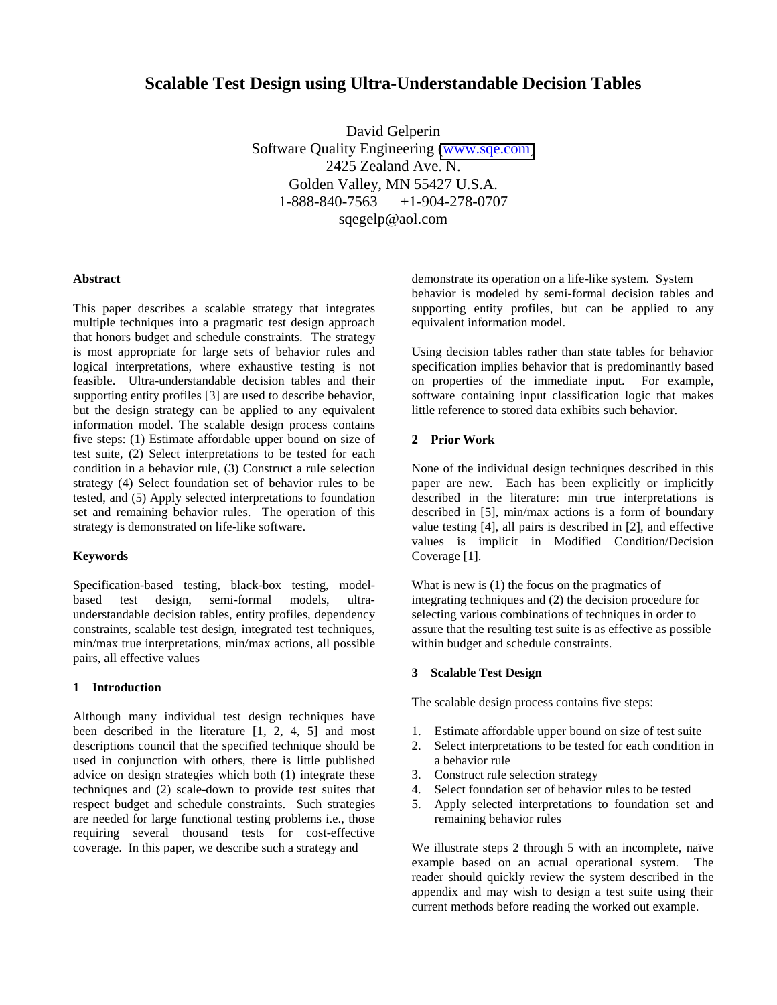# **Scalable Test Design using Ultra-Understandable Decision Tables**

David Gelperin Software Quality Engineering [\(www.sqe.com\)](http://www.sqe.com) 2425 Zealand Ave. N. Golden Valley, MN 55427 U.S.A. 1-888-840-7563 +1-904-278-0707 sqegelp@aol.com

#### **Abstract**

This paper describes a scalable strategy that integrates multiple techniques into a pragmatic test design approach that honors budget and schedule constraints. The strategy is most appropriate for large sets of behavior rules and logical interpretations, where exhaustive testing is not feasible. Ultra-understandable decision tables and their supporting entity profiles [3] are used to describe behavior, but the design strategy can be applied to any equivalent information model. The scalable design process contains five steps: (1) Estimate affordable upper bound on size of test suite, (2) Select interpretations to be tested for each condition in a behavior rule, (3) Construct a rule selection strategy (4) Select foundation set of behavior rules to be tested, and (5) Apply selected interpretations to foundation set and remaining behavior rules. The operation of this strategy is demonstrated on life-like software.

#### **Keywords**

Specification-based testing, black-box testing, modelbased test design, semi-formal models, ultraunderstandable decision tables, entity profiles, dependency constraints, scalable test design, integrated test techniques, min/max true interpretations, min/max actions, all possible pairs, all effective values

#### **1 Introduction**

Although many individual test design techniques have been described in the literature [1, 2, 4, 5] and most descriptions council that the specified technique should be used in conjunction with others, there is little published advice on design strategies which both (1) integrate these techniques and (2) scale-down to provide test suites that respect budget and schedule constraints. Such strategies are needed for large functional testing problems i.e., those requiring several thousand tests for cost-effective coverage. In this paper, we describe such a strategy and

demonstrate its operation on a life-like system. System behavior is modeled by semi-formal decision tables and supporting entity profiles, but can be applied to any equivalent information model.

Using decision tables rather than state tables for behavior specification implies behavior that is predominantly based on properties of the immediate input. For example, software containing input classification logic that makes little reference to stored data exhibits such behavior.

#### **2 Prior Work**

None of the individual design techniques described in this paper are new. Each has been explicitly or implicitly described in the literature: min true interpretations is described in [5], min/max actions is a form of boundary value testing [4], all pairs is described in [2], and effective values is implicit in Modified Condition/Decision Coverage [1].

What is new is (1) the focus on the pragmatics of integrating techniques and (2) the decision procedure for selecting various combinations of techniques in order to assure that the resulting test suite is as effective as possible within budget and schedule constraints.

#### **3 Scalable Test Design**

The scalable design process contains five steps:

- 1. Estimate affordable upper bound on size of test suite
- 2. Select interpretations to be tested for each condition in a behavior rule
- 3. Construct rule selection strategy
- 4. Select foundation set of behavior rules to be tested
- 5. Apply selected interpretations to foundation set and remaining behavior rules

We illustrate steps 2 through 5 with an incomplete, naïve example based on an actual operational system. The reader should quickly review the system described in the appendix and may wish to design a test suite using their current methods before reading the worked out example.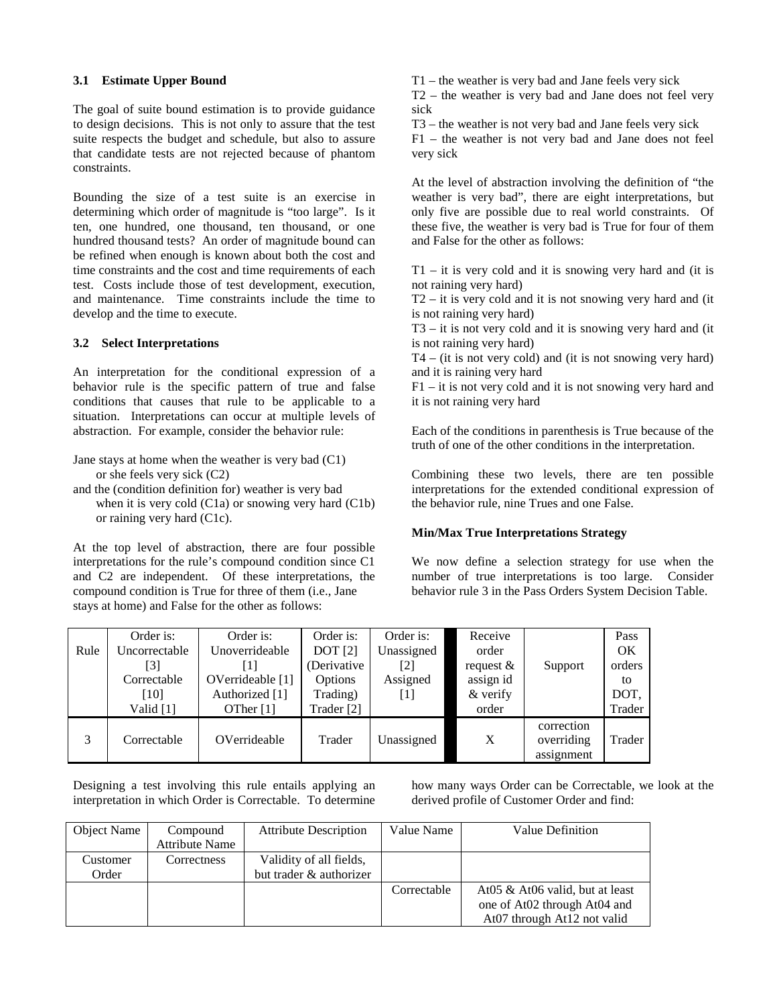### **3.1 Estimate Upper Bound**

The goal of suite bound estimation is to provide guidance to design decisions. This is not only to assure that the test suite respects the budget and schedule, but also to assure that candidate tests are not rejected because of phantom constraints.

Bounding the size of a test suite is an exercise in determining which order of magnitude is "too large". Is it ten, one hundred, one thousand, ten thousand, or one hundred thousand tests? An order of magnitude bound can be refined when enough is known about both the cost and time constraints and the cost and time requirements of each test. Costs include those of test development, execution, and maintenance. Time constraints include the time to develop and the time to execute.

#### **3.2 Select Interpretations**

An interpretation for the conditional expression of a behavior rule is the specific pattern of true and false conditions that causes that rule to be applicable to a situation. Interpretations can occur at multiple levels of abstraction. For example, consider the behavior rule:

Jane stays at home when the weather is very bad (C1) or she feels very sick (C2)

and the (condition definition for) weather is very bad when it is very cold (C1a) or snowing very hard (C1b) or raining very hard (C1c).

At the top level of abstraction, there are four possible interpretations for the rule's compound condition since C1 and C2 are independent. Of these interpretations, the compound condition is True for three of them (i.e., Jane stays at home) and False for the other as follows:

T1 – the weather is very bad and Jane feels very sick

T2 – the weather is very bad and Jane does not feel very sick

T3 – the weather is not very bad and Jane feels very sick

F1 – the weather is not very bad and Jane does not feel very sick

At the level of abstraction involving the definition of "the weather is very bad", there are eight interpretations, but only five are possible due to real world constraints. Of these five, the weather is very bad is True for four of them and False for the other as follows:

 $T1 - it$  is very cold and it is snowing very hard and (it is not raining very hard)

T2 – it is very cold and it is not snowing very hard and (it is not raining very hard)

T3 – it is not very cold and it is snowing very hard and (it is not raining very hard)

T4 – (it is not very cold) and (it is not snowing very hard) and it is raining very hard

F1 – it is not very cold and it is not snowing very hard and it is not raining very hard

Each of the conditions in parenthesis is True because of the truth of one of the other conditions in the interpretation.

Combining these two levels, there are ten possible interpretations for the extended conditional expression of the behavior rule, nine Trues and one False.

#### **Min/Max True Interpretations Strategy**

We now define a selection strategy for use when the number of true interpretations is too large. Consider behavior rule 3 in the Pass Orders System Decision Table.

| Rule | Order is:<br>Uncorrectable<br>[3]<br>Correctable<br>[10]<br>Valid [1] | Order is:<br>Unoverrideable<br>T<br>OVerrideable [1]<br>Authorized [1]<br>OTher $[1]$ | Order is:<br>DOT[2]<br>(Derivative<br>Options<br>Trading)<br>Trader [2] | Order is:<br>Unassigned<br>[2]<br>Assigned<br>  1 | Receive<br>order<br>request $\&$<br>assign id<br>& verify<br>order | Support                                | Pass<br>OK<br>orders<br>to<br>DOT,<br>Trader |
|------|-----------------------------------------------------------------------|---------------------------------------------------------------------------------------|-------------------------------------------------------------------------|---------------------------------------------------|--------------------------------------------------------------------|----------------------------------------|----------------------------------------------|
| 3    | Correctable                                                           | OVerrideable                                                                          | Trader                                                                  | Unassigned                                        | X                                                                  | correction<br>overriding<br>assignment | Trader                                       |

Designing a test involving this rule entails applying an interpretation in which Order is Correctable. To determine how many ways Order can be Correctable, we look at the derived profile of Customer Order and find:

| Object Name | Compound              | <b>Attribute Description</b> | Value Name  | Value Definition                    |
|-------------|-----------------------|------------------------------|-------------|-------------------------------------|
|             | <b>Attribute Name</b> |                              |             |                                     |
| Customer    | Correctness           | Validity of all fields,      |             |                                     |
| Order       |                       | but trader & authorizer      |             |                                     |
|             |                       |                              | Correctable | At $05 \& At06$ valid, but at least |
|             |                       |                              |             | one of At02 through At04 and        |
|             |                       |                              |             | At07 through At12 not valid         |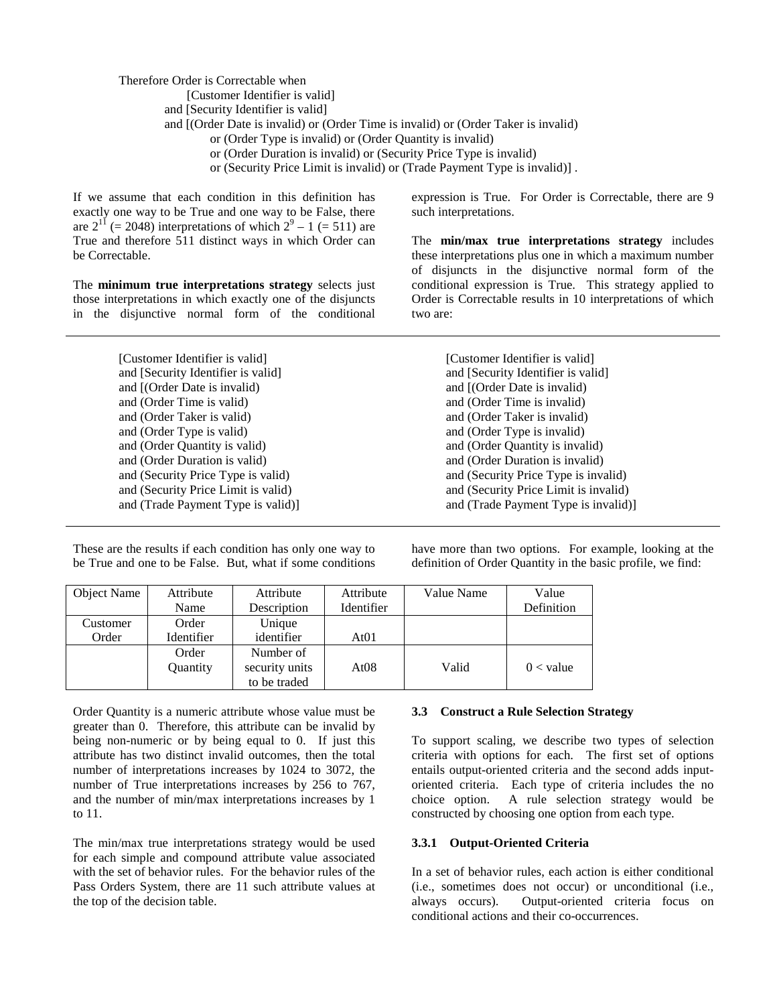Therefore Order is Correctable when [Customer Identifier is valid] and [Security Identifier is valid] and [(Order Date is invalid) or (Order Time is invalid) or (Order Taker is invalid) or (Order Type is invalid) or (Order Quantity is invalid) or (Order Duration is invalid) or (Security Price Type is invalid) or (Security Price Limit is invalid) or (Trade Payment Type is invalid)] .

If we assume that each condition in this definition has exactly one way to be True and one way to be False, there are  $2^{11}$  (= 2048) interpretations of which  $2^9 - 1$  (= 511) are True and therefore 511 distinct ways in which Order can be Correctable.

The **minimum true interpretations strategy** selects just those interpretations in which exactly one of the disjuncts in the disjunctive normal form of the conditional

> [Customer Identifier is valid] and [Security Identifier is valid] and [(Order Date is invalid) and (Order Time is valid) and (Order Taker is valid) and (Order Type is valid) and (Order Quantity is valid) and (Order Duration is valid) and (Security Price Type is valid) and (Security Price Limit is valid) and (Trade Payment Type is valid)]

expression is True. For Order is Correctable, there are 9 such interpretations.

The **min/max true interpretations strategy** includes these interpretations plus one in which a maximum number of disjuncts in the disjunctive normal form of the conditional expression is True. This strategy applied to Order is Correctable results in 10 interpretations of which two are:

> [Customer Identifier is valid] and [Security Identifier is valid] and [(Order Date is invalid) and (Order Time is invalid) and (Order Taker is invalid) and (Order Type is invalid) and (Order Quantity is invalid) and (Order Duration is invalid) and (Security Price Type is invalid) and (Security Price Limit is invalid) and (Trade Payment Type is invalid)]

| These are the results if each condition has only one way to |
|-------------------------------------------------------------|
| be True and one to be False. But, what if some conditions   |

have more than two options. For example, looking at the definition of Order Quantity in the basic profile, we find:

| Object Name | Attribute  | Attribute      | Attribute        | Value Name | Value       |
|-------------|------------|----------------|------------------|------------|-------------|
|             | Name       | Description    | Identifier       |            | Definition  |
| Customer    | Order      | Unique         |                  |            |             |
| Order       | Identifier | identifier     | At <sub>01</sub> |            |             |
|             | Order      | Number of      |                  |            |             |
|             | Quantity   | security units | At08             | Valid      | $0 <$ value |
|             |            | to be traded   |                  |            |             |

Order Quantity is a numeric attribute whose value must be greater than 0. Therefore, this attribute can be invalid by being non-numeric or by being equal to 0. If just this attribute has two distinct invalid outcomes, then the total number of interpretations increases by 1024 to 3072, the number of True interpretations increases by 256 to 767, and the number of min/max interpretations increases by 1 to 11.

The min/max true interpretations strategy would be used for each simple and compound attribute value associated with the set of behavior rules. For the behavior rules of the Pass Orders System, there are 11 such attribute values at the top of the decision table.

#### **3.3 Construct a Rule Selection Strategy**

To support scaling, we describe two types of selection criteria with options for each. The first set of options entails output-oriented criteria and the second adds inputoriented criteria. Each type of criteria includes the no choice option. A rule selection strategy would be constructed by choosing one option from each type.

#### **3.3.1 Output-Oriented Criteria**

In a set of behavior rules, each action is either conditional (i.e., sometimes does not occur) or unconditional (i.e., always occurs). Output-oriented criteria focus on conditional actions and their co-occurrences.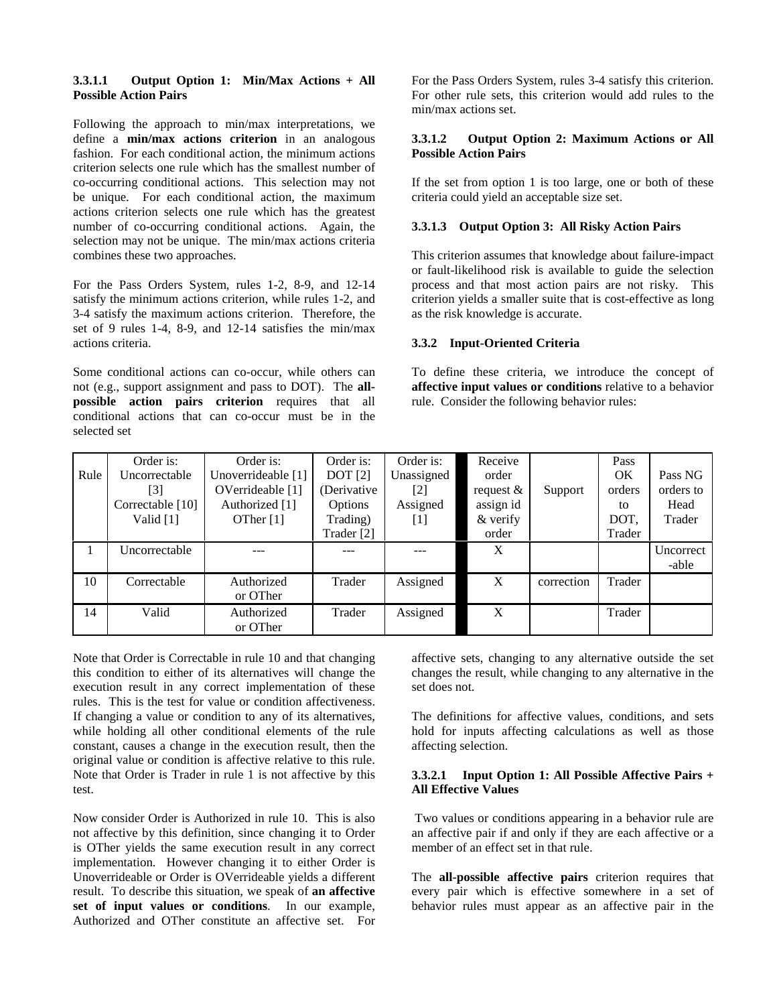#### **3.3.1.1 Output Option 1: Min/Max Actions + All Possible Action Pairs**

Following the approach to min/max interpretations, we define a **min/max actions criterion** in an analogous fashion. For each conditional action, the minimum actions criterion selects one rule which has the smallest number of co-occurring conditional actions. This selection may not be unique. For each conditional action, the maximum actions criterion selects one rule which has the greatest number of co-occurring conditional actions. Again, the selection may not be unique. The min/max actions criteria combines these two approaches.

For the Pass Orders System, rules 1-2, 8-9, and 12-14 satisfy the minimum actions criterion, while rules 1-2, and 3-4 satisfy the maximum actions criterion. Therefore, the set of 9 rules 1-4, 8-9, and 12-14 satisfies the min/max actions criteria.

Some conditional actions can co-occur, while others can not (e.g., support assignment and pass to DOT). The **allpossible action pairs criterion** requires that all conditional actions that can co-occur must be in the selected set

For the Pass Orders System, rules 3-4 satisfy this criterion. For other rule sets, this criterion would add rules to the min/max actions set.

### **3.3.1.2 Output Option 2: Maximum Actions or All Possible Action Pairs**

If the set from option 1 is too large, one or both of these criteria could yield an acceptable size set.

### **3.3.1.3 Output Option 3: All Risky Action Pairs**

This criterion assumes that knowledge about failure-impact or fault-likelihood risk is available to guide the selection process and that most action pairs are not risky. This criterion yields a smaller suite that is cost-effective as long as the risk knowledge is accurate.

### **3.3.2 Input-Oriented Criteria**

To define these criteria, we introduce the concept of **affective input values or conditions** relative to a behavior rule. Consider the following behavior rules:

|      | Order is:          | Order is:          | Order is:      | Order is:         | Receive      |            | Pass   |           |
|------|--------------------|--------------------|----------------|-------------------|--------------|------------|--------|-----------|
| Rule | Uncorrectable      | Unoverrideable [1] | <b>DOT</b> [2] | Unassigned        | order        |            | OK     | Pass NG   |
|      | [3]                | OVerrideable [1]   | (Derivative    | $\lceil 2 \rceil$ | request $\&$ | Support    | orders | orders to |
|      | Correctable $[10]$ | Authorized [1]     | Options        | Assigned          | assign id    |            | to     | Head      |
|      | Valid $[1]$        | OTher [1]          | Trading)       | [1]               | & verify     |            | DOT,   | Trader    |
|      |                    |                    | Trader [2]     |                   | order        |            | Trader |           |
|      | Uncorrectable      | ---                | ---            | ---               | X            |            |        | Uncorrect |
|      |                    |                    |                |                   |              |            |        | -able     |
| 10   | Correctable        | Authorized         | Trader         | Assigned          | X            | correction | Trader |           |
|      |                    | or OTher           |                |                   |              |            |        |           |
| 14   | Valid              | Authorized         | Trader         | Assigned          | X            |            | Trader |           |
|      |                    | or OTher           |                |                   |              |            |        |           |

Note that Order is Correctable in rule 10 and that changing this condition to either of its alternatives will change the execution result in any correct implementation of these rules. This is the test for value or condition affectiveness. If changing a value or condition to any of its alternatives, while holding all other conditional elements of the rule constant, causes a change in the execution result, then the original value or condition is affective relative to this rule. Note that Order is Trader in rule 1 is not affective by this test.

Now consider Order is Authorized in rule 10. This is also not affective by this definition, since changing it to Order is OTher yields the same execution result in any correct implementation. However changing it to either Order is Unoverrideable or Order is OVerrideable yields a different result. To describe this situation, we speak of **an affective set of input values or conditions**. In our example, Authorized and OTher constitute an affective set. For affective sets, changing to any alternative outside the set changes the result, while changing to any alternative in the set does not.

The definitions for affective values, conditions, and sets hold for inputs affecting calculations as well as those affecting selection.

### **3.3.2.1 Input Option 1: All Possible Affective Pairs + All Effective Values**

 Two values or conditions appearing in a behavior rule are an affective pair if and only if they are each affective or a member of an effect set in that rule.

The **all-possible affective pairs** criterion requires that every pair which is effective somewhere in a set of behavior rules must appear as an affective pair in the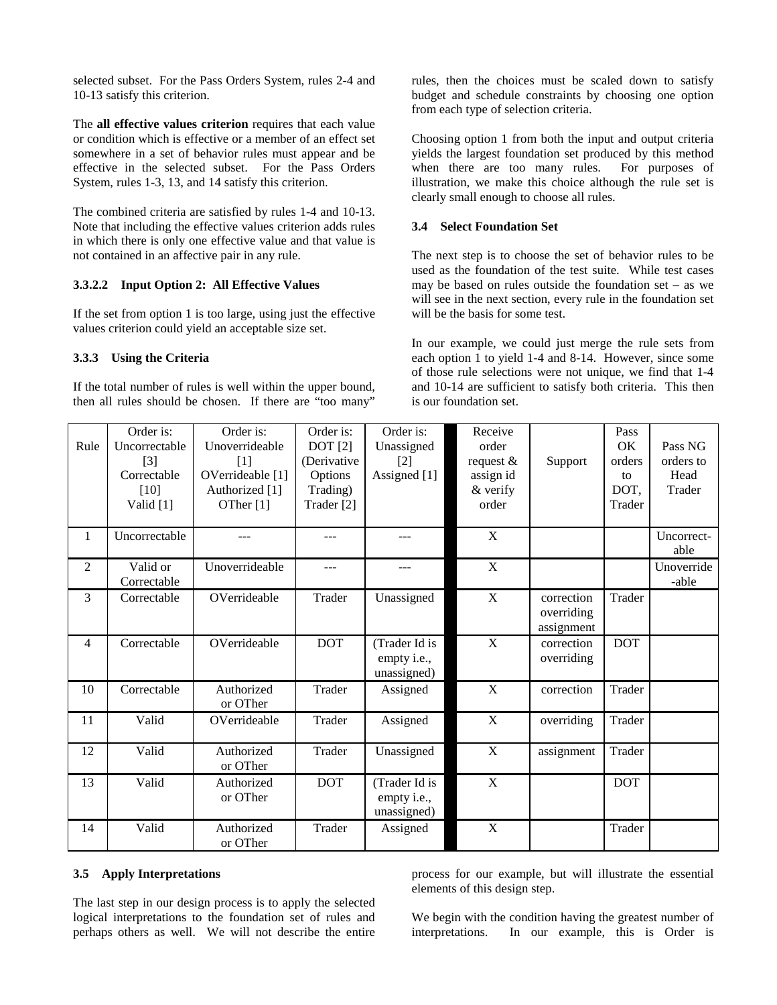selected subset. For the Pass Orders System, rules 2-4 and 10-13 satisfy this criterion.

The **all effective values criterion** requires that each value or condition which is effective or a member of an effect set somewhere in a set of behavior rules must appear and be effective in the selected subset. For the Pass Orders System, rules 1-3, 13, and 14 satisfy this criterion.

The combined criteria are satisfied by rules 1-4 and 10-13. Note that including the effective values criterion adds rules in which there is only one effective value and that value is not contained in an affective pair in any rule.

#### **3.3.2.2 Input Option 2: All Effective Values**

If the set from option 1 is too large, using just the effective values criterion could yield an acceptable size set.

### **3.3.3 Using the Criteria**

If the total number of rules is well within the upper bound, then all rules should be chosen. If there are "too many"

rules, then the choices must be scaled down to satisfy budget and schedule constraints by choosing one option from each type of selection criteria.

Choosing option 1 from both the input and output criteria yields the largest foundation set produced by this method when there are too many rules. For purposes of illustration, we make this choice although the rule set is clearly small enough to choose all rules.

### **3.4 Select Foundation Set**

The next step is to choose the set of behavior rules to be used as the foundation of the test suite. While test cases may be based on rules outside the foundation set – as we will see in the next section, every rule in the foundation set will be the basis for some test.

In our example, we could just merge the rule sets from each option 1 to yield 1-4 and 8-14. However, since some of those rule selections were not unique, we find that 1-4 and 10-14 are sufficient to satisfy both criteria. This then is our foundation set.

| Rule           | Order is:<br>Uncorrectable<br>$\lceil 3 \rceil$<br>Correctable<br>[10]<br>Valid [1] | Order is:<br>Unoverrideable<br>[1]<br>OVerrideable [1]<br>Authorized [1]<br>OTher [1] | Order is:<br>DOT[2]<br>(Derivative)<br>Options<br>Trading)<br>Trader [2] | Order is:<br>Unassigned<br>$\lceil 2 \rceil$<br>Assigned [1] | Receive<br>order<br>request $\&$<br>assign id<br>& verify<br>order | Support                                | Pass<br>OK<br>orders<br>to<br>DOT.<br>Trader | Pass NG<br>orders to<br>Head<br>Trader |
|----------------|-------------------------------------------------------------------------------------|---------------------------------------------------------------------------------------|--------------------------------------------------------------------------|--------------------------------------------------------------|--------------------------------------------------------------------|----------------------------------------|----------------------------------------------|----------------------------------------|
| $\mathbf{1}$   | Uncorrectable                                                                       | ---                                                                                   | ---                                                                      | ---                                                          | X                                                                  |                                        |                                              | Uncorrect-<br>able                     |
| $\overline{c}$ | Valid or<br>Correctable                                                             | Unoverrideable                                                                        | ---                                                                      | ---                                                          | X                                                                  |                                        |                                              | Unoverride<br>-able                    |
| 3              | Correctable                                                                         | OVerrideable                                                                          | Trader                                                                   | Unassigned                                                   | $\mathbf X$                                                        | correction<br>overriding<br>assignment | Trader                                       |                                        |
| $\overline{4}$ | Correctable                                                                         | OVerrideable                                                                          | <b>DOT</b>                                                               | (Trader Id is<br>empty i.e.,<br>unassigned)                  | $\mathbf X$                                                        | correction<br>overriding               | <b>DOT</b>                                   |                                        |
| 10             | Correctable                                                                         | Authorized<br>or OTher                                                                | Trader                                                                   | Assigned                                                     | X                                                                  | correction                             | Trader                                       |                                        |
| 11             | Valid                                                                               | OVerrideable                                                                          | Trader                                                                   | Assigned                                                     | X                                                                  | overriding                             | Trader                                       |                                        |
| 12             | Valid                                                                               | Authorized<br>or OTher                                                                | Trader                                                                   | Unassigned                                                   | X                                                                  | assignment                             | Trader                                       |                                        |
| 13             | Valid                                                                               | Authorized<br>or OTher                                                                | <b>DOT</b>                                                               | (Trader Id is<br>empty i.e.,<br>unassigned)                  | $\overline{X}$                                                     |                                        | <b>DOT</b>                                   |                                        |
| 14             | Valid                                                                               | Authorized<br>or OTher                                                                | Trader                                                                   | Assigned                                                     | $\boldsymbol{X}$                                                   |                                        | Trader                                       |                                        |

#### **3.5 Apply Interpretations**

The last step in our design process is to apply the selected logical interpretations to the foundation set of rules and perhaps others as well. We will not describe the entire process for our example, but will illustrate the essential elements of this design step.

We begin with the condition having the greatest number of interpretations. In our example, this is Order is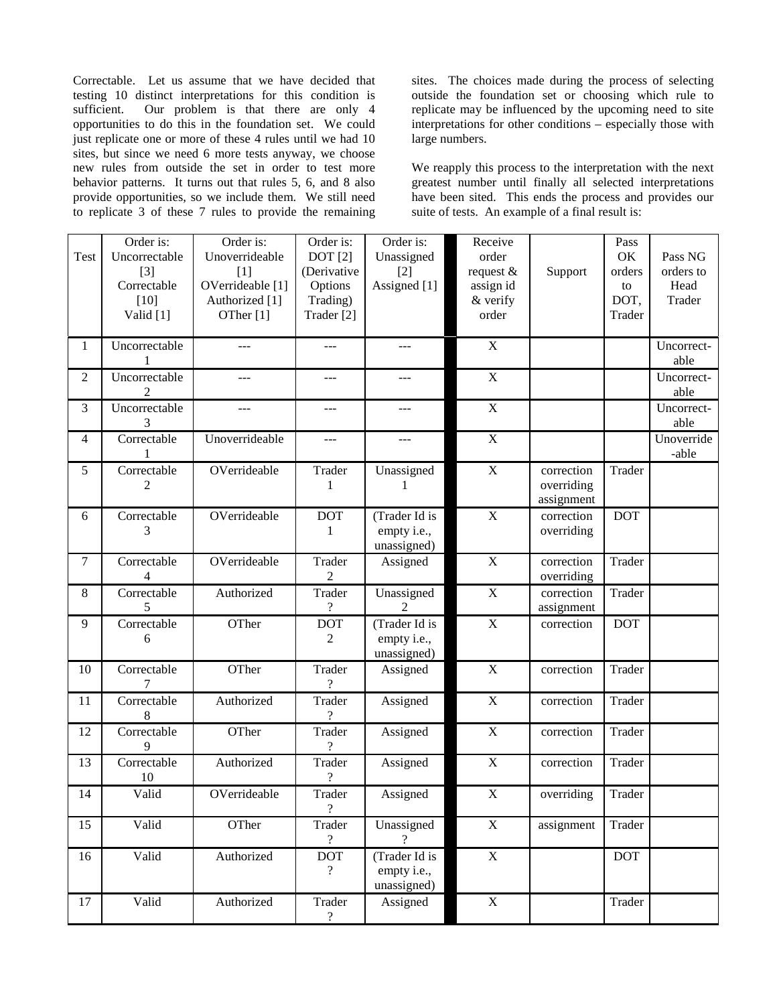Correctable. Let us assume that we have decided that testing 10 distinct interpretations for this condition is sufficient. Our problem is that there are only 4 opportunities to do this in the foundation set. We could just replicate one or more of these 4 rules until we had 10 sites, but since we need 6 more tests anyway, we choose new rules from outside the set in order to test more behavior patterns. It turns out that rules 5, 6, and 8 also provide opportunities, so we include them. We still need to replicate 3 of these 7 rules to provide the remaining sites. The choices made during the process of selecting outside the foundation set or choosing which rule to replicate may be influenced by the upcoming need to site interpretations for other conditions – especially those with large numbers.

We reapply this process to the interpretation with the next greatest number until finally all selected interpretations have been sited. This ends the process and provides our suite of tests. An example of a final result is:

| Test           | Order is:<br>Uncorrectable<br>$[3]$<br>Correctable<br>[10]<br>Valid [1] | Order is:<br>Unoverrideable<br>[1]<br>OVerrideable [1]<br>Authorized [1]<br>OTher [1] | Order is:<br>DOT[2]<br>(Derivative<br>Options<br>Trading)<br>Trader [2] | Order is:<br>Unassigned<br>$[2]$<br>Assigned [1] | Receive<br>order<br>request &<br>assign id<br>& verify<br>order | Support                                | Pass<br>OK<br>orders<br>to<br>DOT,<br>Trader | Pass NG<br>orders to<br>Head<br>Trader |
|----------------|-------------------------------------------------------------------------|---------------------------------------------------------------------------------------|-------------------------------------------------------------------------|--------------------------------------------------|-----------------------------------------------------------------|----------------------------------------|----------------------------------------------|----------------------------------------|
| 1              | Uncorrectable<br>1                                                      | $\overline{a}$                                                                        | $---$                                                                   | $---$                                            | $\mathbf X$                                                     |                                        |                                              | Uncorrect-<br>able                     |
| $\overline{2}$ | Uncorrectable<br>$\overline{2}$                                         | $\overline{a}$                                                                        | ---                                                                     | ---                                              | $\mathbf X$                                                     |                                        |                                              | Uncorrect-<br>able                     |
| 3              | Uncorrectable<br>3                                                      | ---                                                                                   | ---                                                                     | ---                                              | $\mathbf X$                                                     |                                        |                                              | Uncorrect-<br>able                     |
| 4              | Correctable<br>1                                                        | Unoverrideable                                                                        | ---                                                                     | ---                                              | $\overline{X}$                                                  |                                        |                                              | $\overline{Unoverride}$<br>-able       |
| 5              | Correctable<br>$\overline{c}$                                           | OVerrideable                                                                          | Trader<br>1                                                             | Unassigned<br>1                                  | $\mathbf X$                                                     | correction<br>overriding<br>assignment | Trader                                       |                                        |
| 6              | Correctable<br>3                                                        | OVerrideable                                                                          | <b>DOT</b><br>$\mathbf{1}$                                              | (Trader Id is<br>empty i.e.,<br>unassigned)      | $\mathbf X$                                                     | correction<br>overriding               | <b>DOT</b>                                   |                                        |
| $\tau$         | Correctable<br>$\overline{4}$                                           | OVerrideable                                                                          | Trader<br>$\overline{2}$                                                | Assigned                                         | $\overline{X}$                                                  | correction<br>overriding               | Trader                                       |                                        |
| 8              | Correctable<br>5                                                        | Authorized                                                                            | Trader<br>$\gamma$                                                      | Unassigned<br>$\mathfrak{D}$                     | $\mathbf X$                                                     | correction<br>assignment               | Trader                                       |                                        |
| 9              | Correctable<br>6                                                        | OTher                                                                                 | <b>DOT</b><br>$\mathfrak{2}$                                            | (Trader Id is<br>empty i.e.,<br>unassigned)      | $\mathbf X$                                                     | correction                             | <b>DOT</b>                                   |                                        |
| 10             | Correctable                                                             | OTher                                                                                 | Trader<br>?                                                             | Assigned                                         | $\boldsymbol{\mathrm{X}}$                                       | correction                             | Trader                                       |                                        |
| 11             | Correctable<br>8                                                        | Authorized                                                                            | Trader<br>$\overline{\mathcal{C}}$                                      | Assigned                                         | $\mathbf X$                                                     | correction                             | Trader                                       |                                        |
| 12             | Correctable<br>9                                                        | OTher                                                                                 | Trader<br>?                                                             | Assigned                                         | $\mathbf X$                                                     | correction                             | Trader                                       |                                        |
| 13             | Correctable<br>10                                                       | Authorized                                                                            | Trader<br>?                                                             | Assigned                                         | $\mathbf X$                                                     | correction                             | Trader                                       |                                        |
| 14             | Valid                                                                   | OVerrideable                                                                          | Trader<br>$\gamma$                                                      | Assigned                                         | $\mathbf X$                                                     | overriding                             | Trader                                       |                                        |
| 15             | Valid                                                                   | OTher                                                                                 | Trader<br>$\overline{\mathcal{L}}$                                      | Unassigned<br>$\overline{?}$                     | $\mathbf X$                                                     | assignment                             | Trader                                       |                                        |
| 16             | Valid                                                                   | Authorized                                                                            | <b>DOT</b><br>$\overline{\mathcal{L}}$                                  | (Trader Id is<br>empty i.e.,<br>unassigned)      | $\overline{X}$                                                  |                                        | <b>DOT</b>                                   |                                        |
| 17             | Valid                                                                   | Authorized                                                                            | Trader<br>$\overline{\mathcal{L}}$                                      | Assigned                                         | $\mathbf X$                                                     |                                        | Trader                                       |                                        |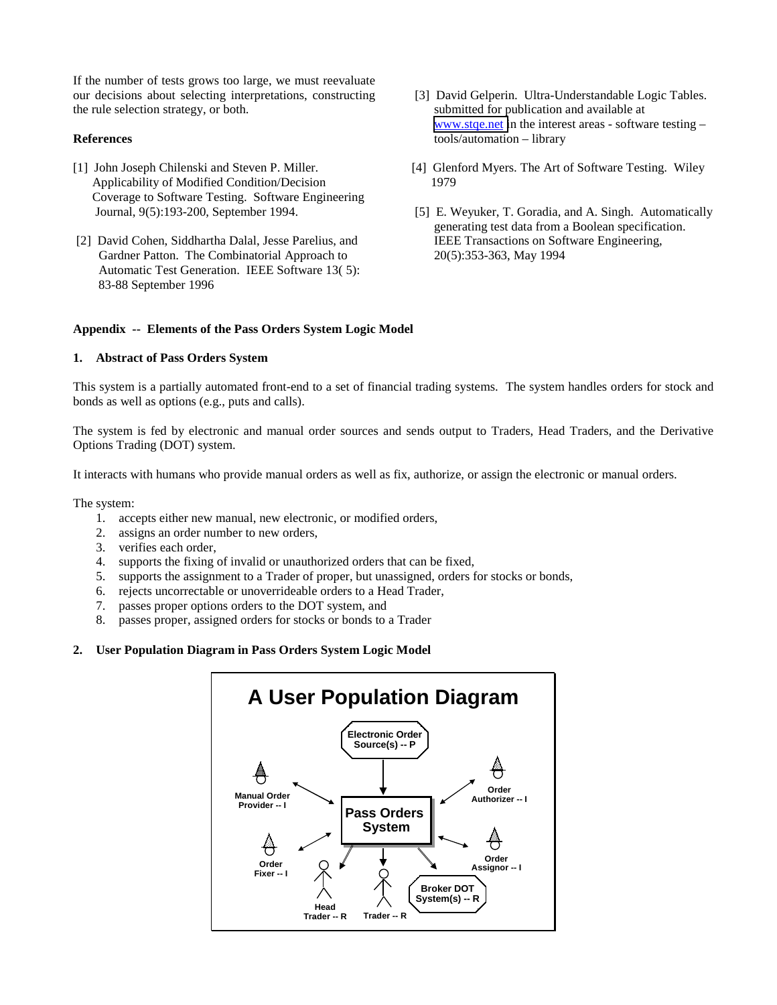If the number of tests grows too large, we must reevaluate our decisions about selecting interpretations, constructing the rule selection strategy, or both.

### **References**

- [1] John Joseph Chilenski and Steven P. Miller. Applicability of Modified Condition/Decision Coverage to Software Testing. Software Engineering Journal, 9(5):193-200, September 1994.
- [2] David Cohen, Siddhartha Dalal, Jesse Parelius, and Gardner Patton. The Combinatorial Approach to Automatic Test Generation. IEEE Software 13( 5): 83-88 September 1996
- [3] David Gelperin. Ultra-Understandable Logic Tables. submitted for publication and available at [www.stqe.net i](http://www.stqe.net/)n the interest areas - software testing – tools/automation – library
- [4] Glenford Myers. The Art of Software Testing. Wiley 1979
- [5] E. Weyuker, T. Goradia, and A. Singh. Automatically generating test data from a Boolean specification. IEEE Transactions on Software Engineering, 20(5):353-363, May 1994

### **Appendix -- Elements of the Pass Orders System Logic Model**

### **1. Abstract of Pass Orders System**

This system is a partially automated front-end to a set of financial trading systems. The system handles orders for stock and bonds as well as options (e.g., puts and calls).

The system is fed by electronic and manual order sources and sends output to Traders, Head Traders, and the Derivative Options Trading (DOT) system.

It interacts with humans who provide manual orders as well as fix, authorize, or assign the electronic or manual orders.

The system:

- 1. accepts either new manual, new electronic, or modified orders,
- 2. assigns an order number to new orders,
- 3. verifies each order,
- 4. supports the fixing of invalid or unauthorized orders that can be fixed,
- 5. supports the assignment to a Trader of proper, but unassigned, orders for stocks or bonds,
- 6. rejects uncorrectable or unoverrideable orders to a Head Trader,
- 7. passes proper options orders to the DOT system, and
- 8. passes proper, assigned orders for stocks or bonds to a Trader
- **2. User Population Diagram in Pass Orders System Logic Model**

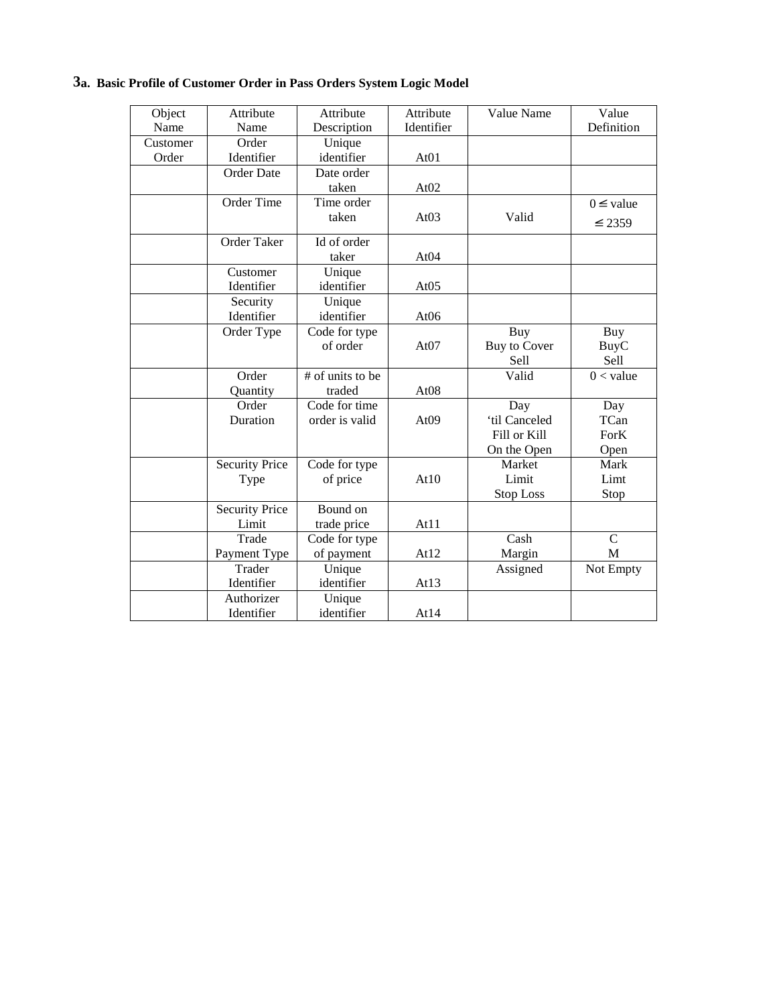# **3a. Basic Profile of Customer Order in Pass Orders System Logic Model**

| Object   | Attribute             | Attribute        | Attribute        | Value Name          | Value          |
|----------|-----------------------|------------------|------------------|---------------------|----------------|
| Name     | Name                  | Description      | Identifier       |                     | Definition     |
| Customer | Order                 | Unique           |                  |                     |                |
| Order    | Identifier            | identifier       | At <sub>01</sub> |                     |                |
|          | <b>Order Date</b>     | Date order       |                  |                     |                |
|          |                       | taken            | At $02$          |                     |                |
|          | Order Time            | Time order       |                  |                     | $0 \leq$ value |
|          |                       | taken            | At03             | Valid               | ≤ 2359         |
|          | Order Taker           | Id of order      |                  |                     |                |
|          |                       | taker            | At04             |                     |                |
|          | Customer              | Unique           |                  |                     |                |
|          | Identifier            | identifier       | At $05$          |                     |                |
|          | Security              | Unique           |                  |                     |                |
|          | Identifier            | identifier       | At <sub>06</sub> |                     |                |
|          | Order Type            | Code for type    |                  | <b>Buy</b>          | Buy            |
|          |                       | of order         | At $07$          | <b>Buy to Cover</b> | BuyC           |
|          |                       |                  |                  | Sell                | Sell           |
|          | Order                 | # of units to be |                  | Valid               | $0 <$ value    |
|          | Quantity              | traded           | At <sub>08</sub> |                     |                |
|          | Order                 | Code for time    |                  | Day                 | Day            |
|          | Duration              | order is valid   | At <sub>09</sub> | 'til Canceled       | TCan           |
|          |                       |                  |                  | Fill or Kill        | ForK           |
|          |                       |                  |                  | On the Open         | Open           |
|          | <b>Security Price</b> | Code for type    |                  | Market              | Mark           |
|          | Type                  | of price         | At10             | Limit               | Limt           |
|          |                       |                  |                  | <b>Stop Loss</b>    | Stop           |
|          | Security Price        | Bound on         |                  |                     |                |
|          | Limit                 | trade price      | At11             |                     |                |
|          | Trade                 | Code for type    |                  | Cash                | $\mathcal{C}$  |
|          | Payment Type          | of payment       | At12             | Margin              | M              |
|          | Trader                | Unique           |                  | Assigned            | Not Empty      |
|          | Identifier            | identifier       | At $13$          |                     |                |
|          | Authorizer            | Unique           |                  |                     |                |
|          | Identifier            | identifier       | At14             |                     |                |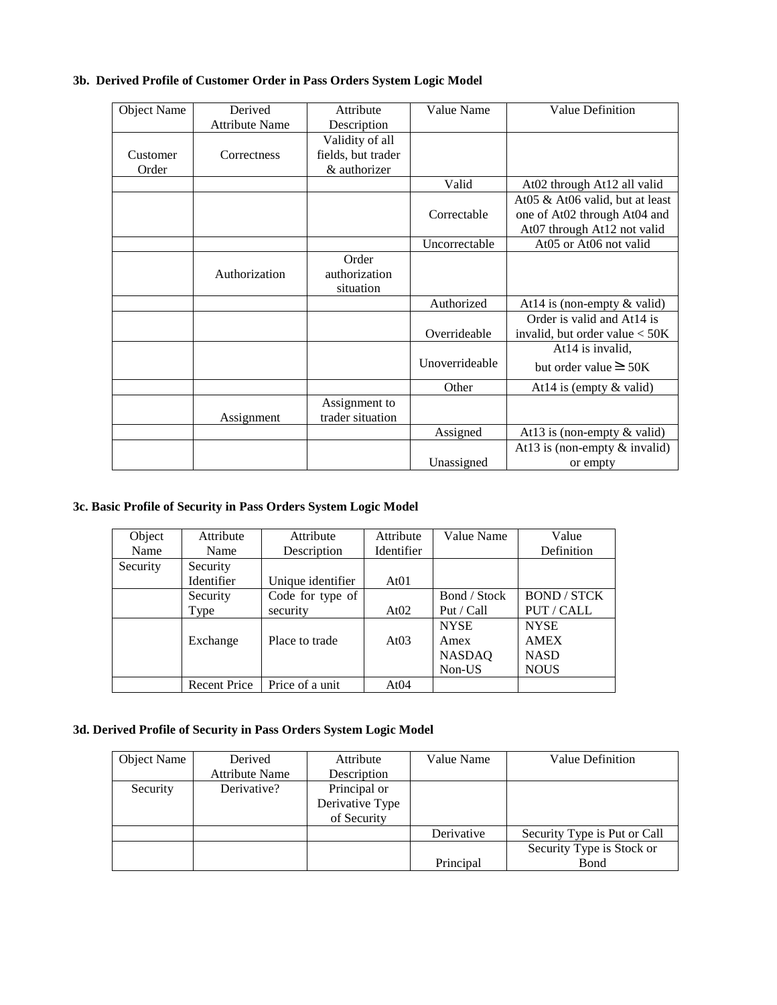# **3b. Derived Profile of Customer Order in Pass Orders System Logic Model**

| <b>Object Name</b> | Derived               | Attribute          | Value Name     | Value Definition                  |
|--------------------|-----------------------|--------------------|----------------|-----------------------------------|
|                    | <b>Attribute Name</b> | Description        |                |                                   |
|                    |                       | Validity of all    |                |                                   |
| Customer           | Correctness           | fields, but trader |                |                                   |
| Order              |                       | & authorizer       |                |                                   |
|                    |                       |                    | Valid          | At02 through At12 all valid       |
|                    |                       |                    |                | At 05 & At 06 valid, but at least |
|                    |                       |                    | Correctable    | one of At02 through At04 and      |
|                    |                       |                    |                | At07 through At12 not valid       |
|                    |                       |                    | Uncorrectable  | At05 or At06 not valid            |
|                    |                       | Order              |                |                                   |
|                    | Authorization         | authorization      |                |                                   |
|                    |                       | situation          |                |                                   |
|                    |                       |                    | Authorized     | At $14$ is (non-empty & valid)    |
|                    |                       |                    |                | Order is valid and At14 is        |
|                    |                       |                    | Overrideable   | invalid, but order value $<$ 50K  |
|                    |                       |                    |                | At14 is invalid,                  |
|                    |                       |                    | Unoverrideable | but order value $\geq$ 50K        |
|                    |                       |                    | Other          | At 14 is (empty $\&$ valid)       |
|                    |                       | Assignment to      |                |                                   |
|                    | Assignment            | trader situation   |                |                                   |
|                    |                       |                    | Assigned       | At $13$ is (non-empty & valid)    |
|                    |                       |                    |                | At 13 is (non-empty $&$ invalid)  |
|                    |                       |                    | Unassigned     | or empty                          |

# **3c. Basic Profile of Security in Pass Orders System Logic Model**

| Object   | Attribute           | Attribute         | Attribute  | Value Name    | Value              |
|----------|---------------------|-------------------|------------|---------------|--------------------|
| Name     | Name                | Description       | Identifier |               | Definition         |
| Security | Security            |                   |            |               |                    |
|          | Identifier          | Unique identifier | At01       |               |                    |
|          | Security            | Code for type of  |            | Bond / Stock  | <b>BOND / STCK</b> |
|          | Type                | security          | At $02$    | Put / Call    | PUT / CALL         |
|          |                     |                   |            | <b>NYSE</b>   | <b>NYSE</b>        |
|          | Exchange            | Place to trade    | At $03$    | Amex          | <b>AMEX</b>        |
|          |                     |                   |            | <b>NASDAQ</b> | <b>NASD</b>        |
|          |                     |                   |            | Non-US        | <b>NOUS</b>        |
|          | <b>Recent Price</b> | Price of a unit   | At04       |               |                    |

# **3d. Derived Profile of Security in Pass Orders System Logic Model**

| Object Name | Derived        | Attribute       | Value Name | Value Definition             |
|-------------|----------------|-----------------|------------|------------------------------|
|             | Attribute Name | Description     |            |                              |
| Security    | Derivative?    | Principal or    |            |                              |
|             |                | Derivative Type |            |                              |
|             |                | of Security     |            |                              |
|             |                |                 | Derivative | Security Type is Put or Call |
|             |                |                 |            | Security Type is Stock or    |
|             |                |                 | Principal  | Bond                         |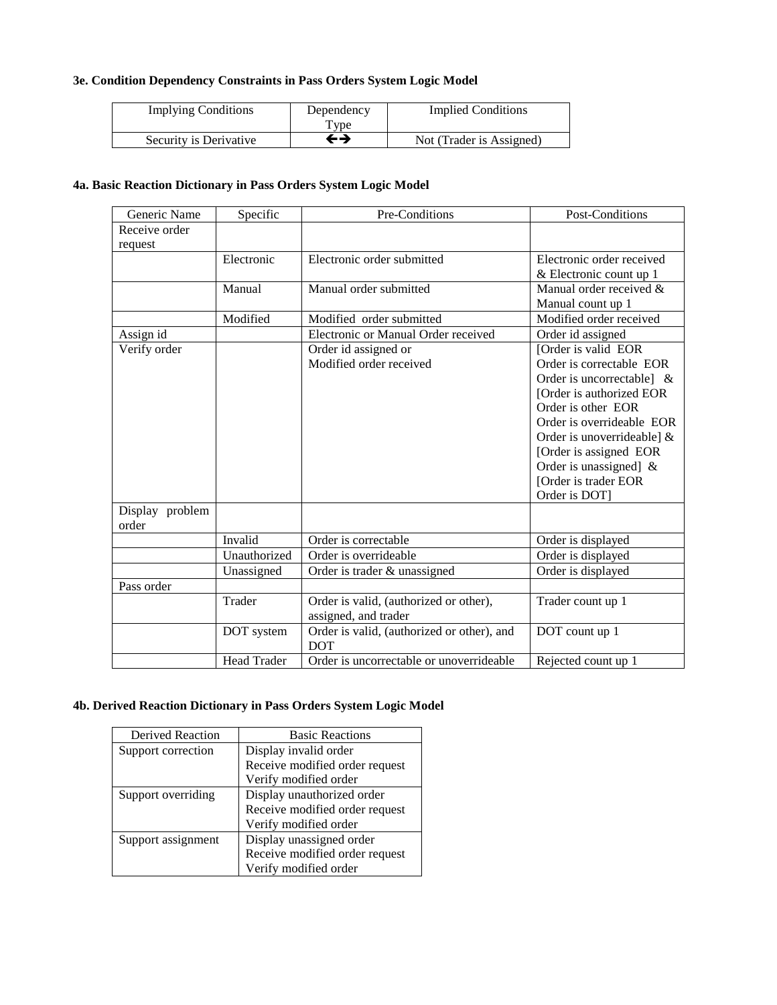# **3e. Condition Dependency Constraints in Pass Orders System Logic Model**

| <b>Implying Conditions</b> | Dependency<br>$TV$ pe | <b>Implied Conditions</b> |
|----------------------------|-----------------------|---------------------------|
| Security is Derivative     | ←→                    | Not (Trader is Assigned)  |

## **4a. Basic Reaction Dictionary in Pass Orders System Logic Model**

| Generic Name    | Specific            | Pre-Conditions<br>Post-Conditions          |                              |  |  |
|-----------------|---------------------|--------------------------------------------|------------------------------|--|--|
| Receive order   |                     |                                            |                              |  |  |
| request         |                     |                                            |                              |  |  |
|                 | Electronic          | Electronic order submitted                 | Electronic order received    |  |  |
|                 |                     |                                            | & Electronic count up 1      |  |  |
|                 | Manual              | Manual order submitted                     | Manual order received &      |  |  |
|                 |                     |                                            | Manual count up 1            |  |  |
|                 | Modified            | Modified order submitted                   | Modified order received      |  |  |
| Assign id       |                     | Electronic or Manual Order received        | Order id assigned            |  |  |
| Verify order    |                     | Order id assigned or                       | [Order is valid EOR          |  |  |
|                 |                     | Modified order received                    | Order is correctable EOR     |  |  |
|                 |                     |                                            | Order is uncorrectable] $\&$ |  |  |
|                 |                     |                                            | [Order is authorized EOR]    |  |  |
|                 |                     |                                            | Order is other EOR           |  |  |
|                 |                     |                                            | Order is overrideable EOR    |  |  |
|                 |                     |                                            | Order is unoverrideable] $&$ |  |  |
|                 |                     |                                            | [Order is assigned EOR       |  |  |
|                 |                     |                                            | Order is unassigned] $\&$    |  |  |
|                 |                     |                                            | [Order is trader EOR         |  |  |
|                 |                     |                                            | Order is DOT]                |  |  |
| Display problem |                     |                                            |                              |  |  |
| order           |                     |                                            |                              |  |  |
|                 | Invalid             | Order is correctable                       | Order is displayed           |  |  |
|                 | Unauthorized        | Order is overrideable                      | Order is displayed           |  |  |
|                 | Unassigned          | Order is trader & unassigned               | Order is displayed           |  |  |
| Pass order      |                     |                                            |                              |  |  |
|                 | Trader              | Order is valid, (authorized or other),     | Trader count up 1            |  |  |
|                 |                     | assigned, and trader                       |                              |  |  |
|                 | DOT system          | Order is valid, (authorized or other), and | DOT count up 1               |  |  |
|                 |                     | <b>DOT</b>                                 |                              |  |  |
|                 | Rejected count up 1 |                                            |                              |  |  |

# **4b. Derived Reaction Dictionary in Pass Orders System Logic Model**

| Derived Reaction   | <b>Basic Reactions</b>         |  |  |  |
|--------------------|--------------------------------|--|--|--|
| Support correction | Display invalid order          |  |  |  |
|                    | Receive modified order request |  |  |  |
|                    | Verify modified order          |  |  |  |
| Support overriding | Display unauthorized order     |  |  |  |
|                    | Receive modified order request |  |  |  |
|                    | Verify modified order          |  |  |  |
| Support assignment | Display unassigned order       |  |  |  |
|                    | Receive modified order request |  |  |  |
|                    | Verify modified order          |  |  |  |